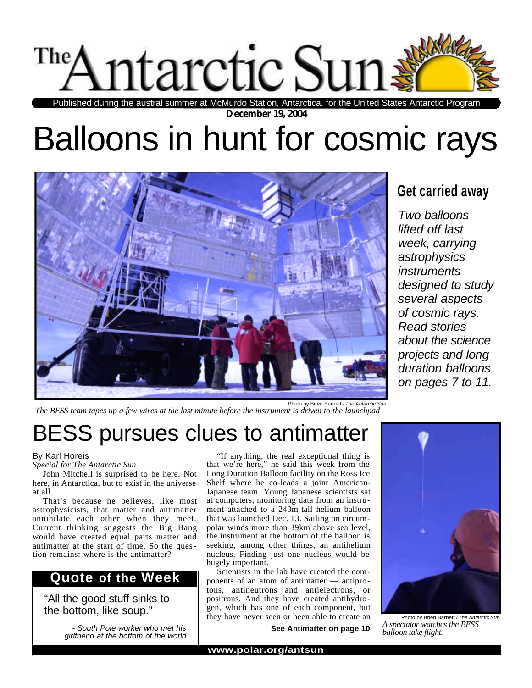

**December 19, 2004** Published during the austral summer at McMurdo Station, Antarctica, for the United States Antarctic Program

# Balloons in hunt for cosmic rays



# **Get carried away**

*Two balloons lifted off last week, carrying astrophysics instruments designed to study several aspects of cosmic rays. Read stories about the science projects and long duration balloons on pages 7 to 11.*

Photo by Brien Barnett / *The Antarctic Sun The BESS team tapes up a few wires at the last minute before the instrument is driven to the launchpad*

# BESS pursues clues to antimatter

### By Karl Horeis

*Special for The Antarctic Sun*

John Mitchell is surprised to be here. Not here, in Antarctica, but to exist in the universe at all.

That's because he believes, like most astrophysicists, that matter and antimatter annihilate each other when they meet. Current thinking suggests the Big Bang would have created equal parts matter and antimatter at the start of time. So the question remains: where is the antimatter?

# **Quote of the Week**

"All the good stuff sinks to the bottom, like soup."

> *- South Pole worker who met his girlfriend at the bottom of the world*

"If anything, the real exceptional thing is that we're here," he said this week from the Long Duration Balloon facility on the Ross Ice Shelf where he co-leads a joint American-Japanese team. Young Japanese scientists sat at computers, monitoring data from an instrument attached to a 243m-tall helium balloon that was launched Dec. 13. Sailing on circumpolar winds more than 39km above sea level, the instrument at the bottom of the balloon is seeking, among other things, an antihelium nucleus. Finding just one nucleus would be hugely important.

Scientists in the lab have created the components of an atom of antimatter — antiprotons, antineutrons and antielectrons, or positrons. And they have created antihydrogen, which has one of each component, but they have never seen or been able to create an

**See Antimatter on page 10**



Photo by Brien Barnett / *The Antarctic Sun A spectator watches the BESS balloon take flight.*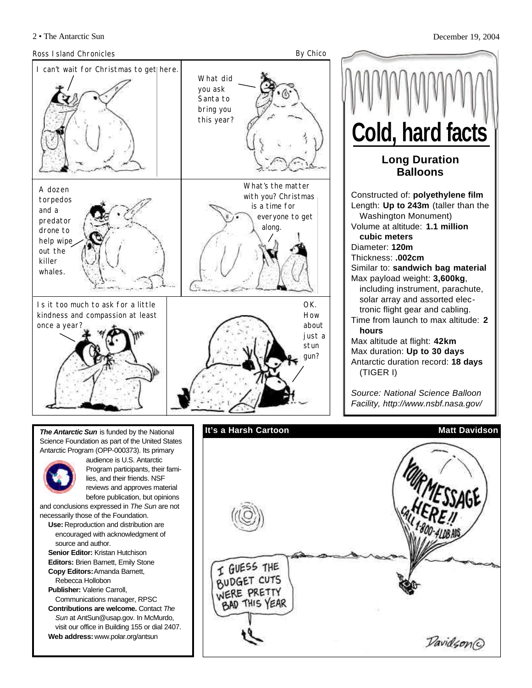

**Long Duration Balloons** Constructed of: **polyethylene film** Length: **Up to 243m** (taller than the Washington Monument) Volume at altitude: **1.1 million cubic meters** Diameter: **120m** Thickness: **.002cm** Similar to: **sandwich bag material** Max payload weight: **3,600kg**, including instrument, parachute, solar array and assorted electronic flight gear and cabling. Time from launch to max altitude: **2 hours** Max altitude at flight: **42km** Max duration: **Up to 30 days** Antarctic duration record: **18 days** (TIGER I) **Cold, hard facts**

*Source: National Science Balloon Facility, http://www.nsbf.nasa.gov/*

*The Antarctic Sun* is funded by the National Science Foundation as part of the United States Antarctic Program (OPP-000373). Its primary



audience is U.S. Antarctic Program participants, their families, and their friends. NSF reviews and approves material before publication, but opinions

and conclusions expressed in *The Sun* are not necessarily those of the Foundation.

- **Use:** Reproduction and distribution are encouraged with acknowledgment of source and author.
- **Senior Editor:** Kristan Hutchison **Editors:** Brien Barnett, Emily Stone **Copy Editors:**Amanda Barnett,
- Rebecca Hollobon **Publisher:** Valerie Carroll,

Communications manager, RPSC **Contributions are welcome.** Contact *The Sun* at AntSun@usap.gov. In McMurdo, visit our office in Building 155 or dial 2407.

**Web address:** www.polar.org/antsun

```
It's a Harsh Cartoon Matt Davidson
 I GUESS THE
 BUDGET CUTS
 WERE PRETTY
  BAD THIS YEAR
                                 Davidson®
```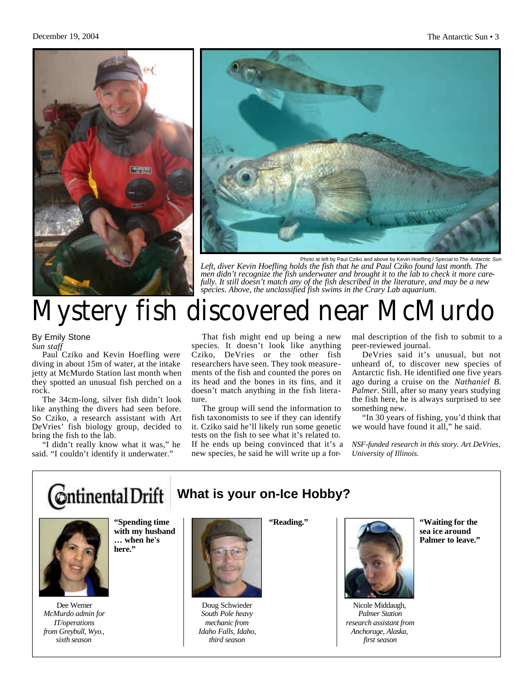



Photo at left by Paul Cziko and above by Kevin Hoefling / Special to *The Antarctic Sun Left, diver Kevin Hoefling holds the fish that he and Paul Cziko found last month. The men didn't recognize the fish underwater and brought it to the lab to check it more carefully. It still doesn't match any of the fish described in the literature, and may be a new species. Above, the unclassified fish swims in the Crary Lab aquarium.*

# Mystery fish discovered near McMurdo

By Emily Stone *Sun staff*

Paul Cziko and Kevin Hoefling were diving in about 15m of water, at the intake jetty at McMurdo Station last month when they spotted an unusual fish perched on a rock.

The 34cm-long, silver fish didn't look like anything the divers had seen before. So Cziko, a research assistant with Art DeVries' fish biology group, decided to bring the fish to the lab.

"I didn't really know what it was," he said. "I couldn't identify it underwater."

That fish might end up being a new species. It doesn't look like anything Cziko, DeVries or the other fish researchers have seen. They took measurements of the fish and counted the pores on its head and the bones in its fins, and it doesn't match anything in the fish literature.

The group will send the information to fish taxonomists to see if they can identify it. Cziko said he'll likely run some genetic tests on the fish to see what it's related to. If he ends up being convinced that it's a new species, he said he will write up a for-

**What is your on-Ice Hobby?**

mal description of the fish to submit to a peer-reviewed journal.

DeVries said it's unusual, but not unheard of, to discover new species of Antarctic fish. He identified one five years ago during a cruise on the *Nathaniel B. Palmer*. Still, after so many years studying the fish here, he is always surprised to see something new.

"In 30 years of fishing, you'd think that we would have found it all," he said.

*NSF-funded research in this story. Art DeVries, University of Illinois.*

# **C**ntinental Drift



**with my husband … when he's here."**

Dee Werner *McMurdo admin for IT/operations from Greybull, Wyo., sixth season* 

**"Spending time**



Doug Schwieder *South Pole heavy mechanic from Idaho Falls, Idaho, third season* 

**"Reading."**



Nicole Middaugh, *Palmer Station research assistant from Anchorage, Alaska, first season*

**"Waiting for the sea ice around Palmer to leave."**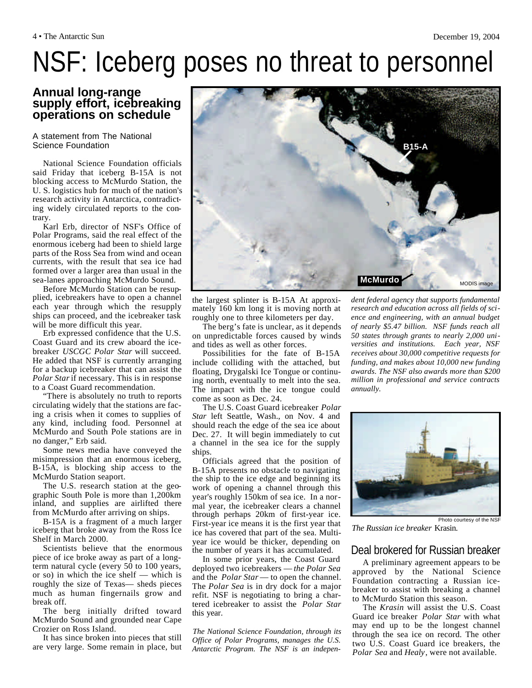# NSF: Iceberg poses no threat to personnel

# **Annual long-range supply effort, icebreaking operations on schedule**

#### A statement from The National Science Foundation

National Science Foundation officials said Friday that iceberg B-15A is not blocking access to McMurdo Station, the U. S. logistics hub for much of the nation's research activity in Antarctica, contradicting widely circulated reports to the contrary.

Karl Erb, director of NSF's Office of Polar Programs, said the real effect of the enormous iceberg had been to shield large parts of the Ross Sea from wind and ocean currents, with the result that sea ice had formed over a larger area than usual in the sea-lanes approaching McMurdo Sound.

Before McMurdo Station can be resupplied, icebreakers have to open a channel each year through which the resupply ships can proceed, and the icebreaker task will be more difficult this year.

Erb expressed confidence that the U.S. Coast Guard and its crew aboard the icebreaker *USCGC Polar Star* will succeed. He added that NSF is currently arranging for a backup icebreaker that can assist the *Polar Star*if necessary. This is in response to a Coast Guard recommendation.

"There is absolutely no truth to reports circulating widely that the stations are facing a crisis when it comes to supplies of any kind, including food. Personnel at McMurdo and South Pole stations are in no danger," Erb said.

Some news media have conveyed the misimpression that an enormous iceberg, B-15A, is blocking ship access to the McMurdo Station seaport.

The U.S. research station at the geographic South Pole is more than 1,200km inland, and supplies are airlifted there from McMurdo after arriving on ships.

B-15A is a fragment of a much larger iceberg that broke away from the Ross Ice Shelf in March 2000.

Scientists believe that the enormous piece of ice broke away as part of a longterm natural cycle (every 50 to 100 years, or so) in which the ice shelf — which is roughly the size of Texas— sheds pieces much as human fingernails grow and break off.

The berg initially drifted toward McMurdo Sound and grounded near Cape Crozier on Ross Island.

It has since broken into pieces that still are very large. Some remain in place, but



the largest splinter is B-15A At approximately 160 km long it is moving north at roughly one to three kilometers per day.

The berg's fate is unclear, as it depends on unpredictable forces caused by winds and tides as well as other forces.

Possibilities for the fate of B-15A include colliding with the attached, but floating, Drygalski Ice Tongue or continuing north, eventually to melt into the sea. The impact with the ice tongue could come as soon as Dec. 24.

The U.S. Coast Guard icebreaker *Polar Star* left Seattle, Wash., on Nov. 4 and should reach the edge of the sea ice about Dec. 27. It will begin immediately to cut a channel in the sea ice for the supply ships.

Officials agreed that the position of B-15A presents no obstacle to navigating the ship to the ice edge and beginning its work of opening a channel through this year's roughly 150km of sea ice. In a normal year, the icebreaker clears a channel through perhaps 20km of first-year ice. First-year ice means it is the first year that ice has covered that part of the sea. Multiyear ice would be thicker, depending on the number of years it has accumulated.

In some prior years, the Coast Guard deployed two icebreakers — *the Polar Sea* and the *Polar Star* — to open the channel. The *Polar Sea* is in dry dock for a major refit. NSF is negotiating to bring a chartered icebreaker to assist the *Polar Star* this year.

*The National Science Foundation, through its Office of Polar Programs, manages the U.S. Antarctic Program. The NSF is an indepen-* *dent federal agency that supports fundamental research and education across all fields of science and engineering, with an annual budget of nearly \$5.47 billion. NSF funds reach all 50 states through grants to nearly 2,000 universities and institutions. Each year, NSF receives about 30,000 competitive requests for funding, and makes about 10,000 new funding awards. The NSF also awards more than \$200 million in professional and service contracts annually.*



*The Russian ice breaker* Krasin*.*

# Deal brokered for Russian breaker

A preliminary agreement appears to be approved by the National Science Foundation contracting a Russian icebreaker to assist with breaking a channel to McMurdo Station this season.

The *Krasin* will assist the U.S. Coast Guard ice breaker *Polar Star* with what may end up to be the longest channel through the sea ice on record. The other two U.S. Coast Guard ice breakers, the *Polar Sea* and *Healy*, were not available.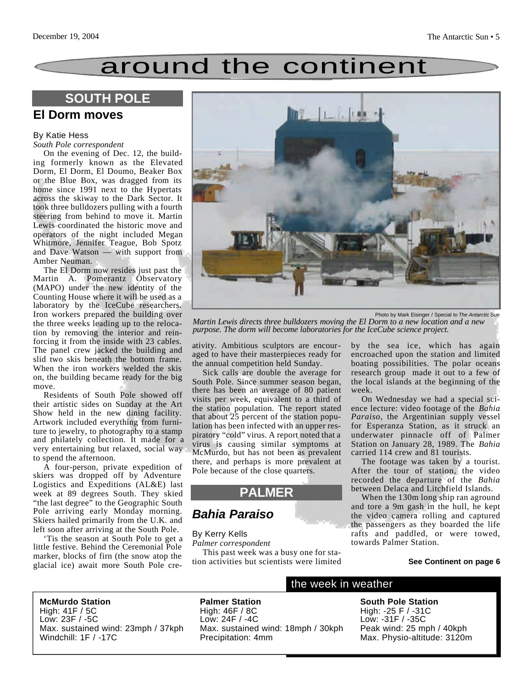# around the continent

# **SOUTH POLE**

# **El Dorm moves**

#### By Katie Hess

#### *South Pole correspondent*

On the evening of Dec. 12, the building formerly known as the Elevated Dorm, El Dorm, El Doumo, Beaker Box or the Blue Box, was dragged from its home since 1991 next to the Hypertats across the skiway to the Dark Sector. It took three bulldozers pulling with a fourth steering from behind to move it. Martin Lewis coordinated the historic move and operators of the night included Megan Whitmore, Jennifer Teague, Bob Spotz and Dave Watson — with support from Amber Neuman.

The El Dorm now resides just past the Martin A. Pomerantz Observatory (MAPO) under the new identity of the Counting House where it will be used as a laboratory by the IceCube researchers. Iron workers prepared the building over the three weeks leading up to the relocation by removing the interior and reinforcing it from the inside with 23 cables. The panel crew jacked the building and slid two skis beneath the bottom frame. When the iron workers welded the skis on, the building became ready for the big move.

Residents of South Pole showed off their artistic sides on Sunday at the Art Show held in the new dining facility. Artwork included everything from furniture to jewelry, to photography to a stamp and philately collection. It made for a very entertaining but relaxed, social way to spend the afternoon.

A four-person, private expedition of skiers was dropped off by Adventure Logistics and Expeditions (AL&E) last week at 89 degrees South. They skied "the last degree" to the Geographic South Pole arriving early Monday morning. Skiers hailed primarily from the U.K. and left soon after arriving at the South Pole.

'Tis the season at South Pole to get a little festive. Behind the Ceremonial Pole marker, blocks of firn (the snow atop the glacial ice) await more South Pole cre-



Photo by Mark Eisinger / Special to *The Antarctic Sun*

*Martin Lewis directs three bulldozers moving the El Dorm to a new location and a new purpose. The dorm will become laboratories for the IceCube science project.*

ativity. Ambitious sculptors are encouraged to have their masterpieces ready for the annual competition held Sunday.

Sick calls are double the average for South Pole. Since summer season began, there has been an average of 80 patient visits per week, equivalent to a third of the station population. The report stated that about 25 percent of the station population has been infected with an upper respiratory "cold" virus. A report noted that a virus is causing similar symptoms at McMurdo, but has not been as prevalent there, and perhaps is more prevalent at Pole because of the close quarters.

# **PALMER**

# *Bahia Paraiso*

#### By Kerry Kells

*Palmer correspondent*

This past week was a busy one for station activities but scientists were limited by the sea ice, which has again encroached upon the station and limited boating possibilities. The polar oceans research group made it out to a few of the local islands at the beginning of the week.

On Wednesday we had a special science lecture: video footage of the *Bahia Paraiso*, the Argentinian supply vessel for Esperanza Station, as it struck an underwater pinnacle off of Palmer Station on January 28, 1989. The *Bahia* carried 114 crew and 81 tourists.

The footage was taken by a tourist. After the tour of station, the video recorded the departure of the *Bahia* between Delaca and Litchfield Islands.

When the 130m long ship ran aground and tore a 9m gash in the hull, he kept the video camera rolling and captured the passengers as they boarded the life rafts and paddled, or were towed, towards Palmer Station.

#### **See Continent on page 6**

**McMurdo Station** High: 41F / 5C Low: 23F / -5C Max. sustained wind: 23mph / 37kph Windchill: 1F / -17C

**Palmer Station** High: 46F / 8C Low: 24F / -4C Max. sustained wind: 18mph / 30kph Precipitation: 4mm

### the week in weather

**South Pole Station** High: -25 F / -31C Low: -31F / -35C Peak wind: 25 mph / 40kph Max. Physio-altitude: 3120m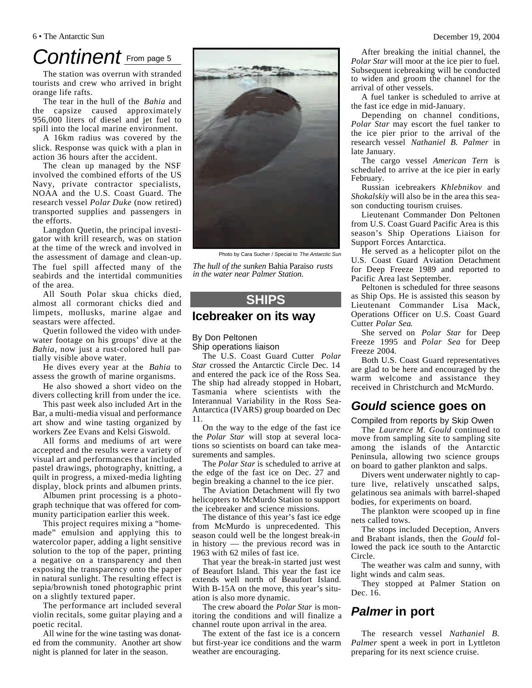# Continent **From page 5**

The station was overrun with stranded tourists and crew who arrived in bright orange life rafts.

The tear in the hull of the *Bahia* and the capsize caused approximately 956,000 liters of diesel and jet fuel to spill into the local marine environment.

A 16km radius was covered by the slick. Response was quick with a plan in action 36 hours after the accident.

The clean up managed by the NSF involved the combined efforts of the US Navy, private contractor specialists, NOAA and the U.S. Coast Guard. The research vessel *Polar Duke* (now retired) transported supplies and passengers in the efforts.

Langdon Quetin, the principal investigator with krill research, was on station at the time of the wreck and involved in the assessment of damage and clean-up. The fuel spill affected many of the seabirds and the intertidal communities of the area.

All South Polar skua chicks died, almost all cormorant chicks died and limpets, mollusks, marine algae and seastars were affected.

Quetin followed the video with underwater footage on his groups' dive at the *Bahia*, now just a rust-colored hull partially visible above water.

He dives every year at the *Bahia* to assess the growth of marine organisms.

He also showed a short video on the divers collecting krill from under the ice.

This past week also included Art in the Bar, a multi-media visual and performance art show and wine tasting organized by workers Zee Evans and Kelsi Giswold.

All forms and mediums of art were accepted and the results were a variety of visual art and performances that included pastel drawings, photography, knitting, a quilt in progress, a mixed-media lighting display, block prints and albumen prints.

Albumen print processing is a photograph technique that was offered for community participation earlier this week.

This project requires mixing a "homemade" emulsion and applying this to watercolor paper, adding a light sensitive solution to the top of the paper, printing a negative on a transparency and then exposing the transparency onto the paper in natural sunlight. The resulting effect is sepia/brownish toned photographic print on a slightly textured paper.

The performance art included several violin recitals, some guitar playing and a poetic recital.

All wine for the wine tasting was donated from the community. Another art show night is planned for later in the season.

Photo by Cara Sucher / Special to *The Antarctic Sun*

*The hull of the sunken* Bahia Paraiso *rusts in the water near Palmer Station.*

# **SHIPS**

## **Icebreaker on its way**

By Don Peltonen Ship operations liaison

The U.S. Coast Guard Cutter *Polar Star* crossed the Antarctic Circle Dec. 14 and entered the pack ice of the Ross Sea. The ship had already stopped in Hobart, Tasmania where scientists with the Interannual Variability in the Ross Sea-Antarctica (IVARS) group boarded on Dec 11.

On the way to the edge of the fast ice the *Polar Star* will stop at several locations so scientists on board can take measurements and samples.

The *Polar Star* is scheduled to arrive at the edge of the fast ice on Dec. 27 and begin breaking a channel to the ice pier.

The Aviation Detachment will fly two helicopters to McMurdo Station to support the icebreaker and science missions.

The distance of this year's fast ice edge from McMurdo is unprecedented. This season could well be the longest break-in in history — the previous record was in 1963 with 62 miles of fast ice.

That year the break-in started just west of Beaufort Island. This year the fast ice extends well north of Beaufort Island. With B-15A on the move, this year's situation is also more dynamic.

The crew aboard the *Polar Star* is monitoring the conditions and will finalize a channel route upon arrival in the area.

The extent of the fast ice is a concern but first-year ice conditions and the warm weather are encouraging.

After breaking the initial channel, the *Polar Star* will moor at the ice pier to fuel. Subsequent icebreaking will be conducted to widen and groom the channel for the arrival of other vessels.

A fuel tanker is scheduled to arrive at the fast ice edge in mid-January.

Depending on channel conditions, *Polar Star* may escort the fuel tanker to the ice pier prior to the arrival of the research vessel *Nathaniel B. Palmer* in late January.

The cargo vessel *American Tern* is scheduled to arrive at the ice pier in early February.

Russian icebreakers *Khlebnikov* and *Shokalskiy* will also be in the area this season conducting tourism cruises.

Lieutenant Commander Don Peltonen from U.S. Coast Guard Pacific Area is this season's Ship Operations Liaison for Support Forces Antarctica.

He served as a helicopter pilot on the U.S. Coast Guard Aviation Detachment for Deep Freeze 1989 and reported to Pacific Area last September.

Peltonen is scheduled for three seasons as Ship Ops. He is assisted this season by Lieutenant Commander Lisa Mack, Operations Officer on U.S. Coast Guard Cutter *Polar Sea*.

She served on *Polar Star* for Deep Freeze 1995 and *Polar Sea* for Deep Freeze 2004.

Both U.S. Coast Guard representatives are glad to be here and encouraged by the warm welcome and assistance they received in Christchurch and McMurdo.

# *Gould* **science goes on**

Compiled from reports by Skip Owen

The *Laurence M. Gould* continued to move from sampling site to sampling site among the islands of the Antarctic Peninsula, allowing two science groups on board to gather plankton and salps.

Divers went underwater nightly to capture live, relatively unscathed salps, gelatinous sea animals with barrel-shaped bodies, for experiments on board.

The plankton were scooped up in fine nets called tows.

The stops included Deception, Anvers and Brabant islands, then the *Gould* followed the pack ice south to the Antarctic Circle.

The weather was calm and sunny, with light winds and calm seas.

They stopped at Palmer Station on Dec. 16.

# *Palmer* **in port**

The research vessel *Nathaniel B. Palmer* spent a week in port in Lyttleton preparing for its next science cruise.

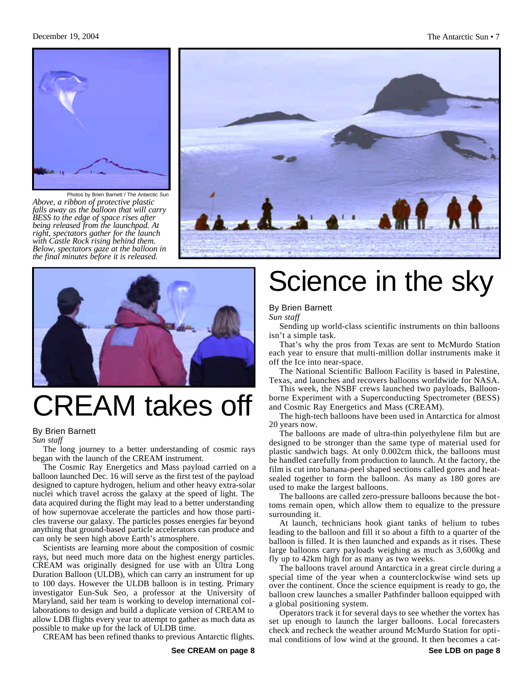

Photos by Brien Barnett / The Antarctic Sun *Above, a ribbon of protective plastic falls away as the balloon that will carry BESS to the edge of space rises after being released from the launchpad. At right, spectators gather for the launch with Castle Rock rising behind them. Below, spectators gaze at the balloon in the final minutes before it is released.*





# CREAM takes off

#### By Brien Barnett

*Sun staff*

The long journey to a better understanding of cosmic rays began with the launch of the CREAM instrument.

The Cosmic Ray Energetics and Mass payload carried on a balloon launched Dec. 16 will serve as the first test of the payload designed to capture hydrogen, helium and other heavy extra-solar nuclei which travel across the galaxy at the speed of light. The data acquired during the flight may lead to a better understanding of how supernovae accelerate the particles and how those particles traverse our galaxy. The particles posses energies far beyond anything that ground-based particle accelerators can produce and can only be seen high above Earth's atmosphere.

Scientists are learning more about the composition of cosmic rays, but need much more data on the highest energy particles. CREAM was originally designed for use with an Ultra Long Duration Balloon (ULDB), which can carry an instrument for up to 100 days. However the ULDB balloon is in testing. Primary investigator Eun-Suk Seo, a professor at the University of Maryland, said her team is working to develop international collaborations to design and build a duplicate version of CREAM to allow LDB flights every year to attempt to gather as much data as possible to make up for the lack of ULDB time.

CREAM has been refined thanks to previous Antarctic flights.

# Science in the sky

### By Brien Barnett

*Sun staff*

Sending up world-class scientific instruments on thin balloons isn't a simple task.

That's why the pros from Texas are sent to McMurdo Station each year to ensure that multi-million dollar instruments make it off the Ice into near-space.

The National Scientific Balloon Facility is based in Palestine, Texas, and launches and recovers balloons worldwide for NASA.

This week, the NSBF crews launched two payloads, Balloonborne Experiment with a Superconducting Spectrometer (BESS) and Cosmic Ray Energetics and Mass (CREAM).

The high-tech balloons have been used in Antarctica for almost 20 years now.

The balloons are made of ultra-thin polyethylene film but are designed to be stronger than the same type of material used for plastic sandwich bags. At only 0.002cm thick, the balloons must be handled carefully from production to launch. At the factory, the film is cut into banana-peel shaped sections called gores and heatsealed together to form the balloon. As many as 180 gores are used to make the largest balloons.

The balloons are called zero-pressure balloons because the bottoms remain open, which allow them to equalize to the pressure surrounding it.

At launch, technicians hook giant tanks of helium to tubes leading to the balloon and fill it so about a fifth to a quarter of the balloon is filled. It is then launched and expands as it rises. These large balloons carry payloads weighing as much as 3,600kg and fly up to 42km high for as many as two weeks.

The balloons travel around Antarctica in a great circle during a special time of the year when a counterclockwise wind sets up over the continent. Once the science equipment is ready to go, the balloon crew launches a smaller Pathfinder balloon equipped with a global positioning system.

Operators track it for several days to see whether the vortex has set up enough to launch the larger balloons. Local forecasters check and recheck the weather around McMurdo Station for optimal conditions of low wind at the ground. It then becomes a cat-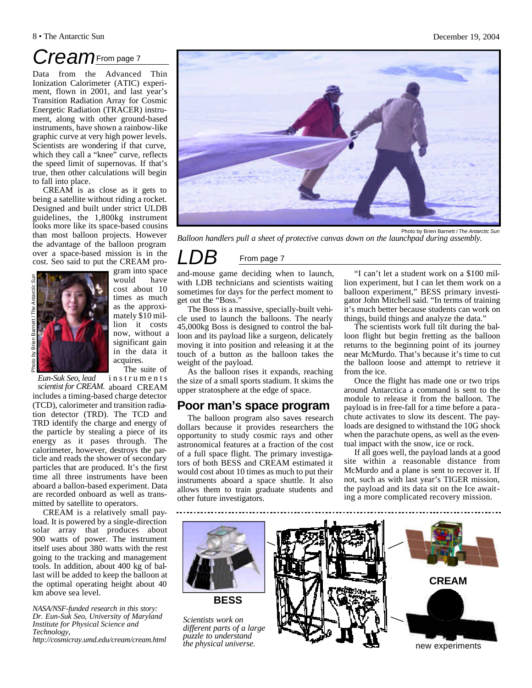# *Cream*From page 7

Data from the Advanced Thin Ionization Calorimeter (ATIC) experiment, flown in 2001, and last year's Transition Radiation Array for Cosmic Energetic Radiation (TRACER) instrument, along with other ground-based instruments, have shown a rainbow-like graphic curve at very high power levels. Scientists are wondering if that curve, which they call a "knee" curve, reflects the speed limit of supernovas. If that's true, then other calculations will begin to fall into place.

CREAM is as close as it gets to being a satellite without riding a rocket. Designed and built under strict ULDB guidelines, the 1,800kg instrument looks more like its space-based cousins than most balloon projects. However the advantage of the balloon program over a space-based mission is in the cost. Seo said to put the CREAM pro-



gram into space would have cost about 10 times as much as the approximately \$10 million it costs now, without a significant gain in the data it acquires.

*Eun-Suk Seo, lead* 

scientist for CREAM. aboard CREAM includes a timing-based charge detector (TCD), calorimeter and transition radiation detector (TRD). The TCD and TRD identify the charge and energy of the particle by stealing a piece of its energy as it pases through. The calorimeter, however, destroys the particle and reads the shower of secondary particles that are produced. It's the first time all three instruments have been aboard a ballon-based experiment. Data are recorded onboard as well as transmitted by satellite to operators.

CREAM is a relatively small payload. It is powered by a single-direction solar array that produces about 900 watts of power. The instrument itself uses about 380 watts with the rest going to the tracking and management tools. In addition, about 400 kg of ballast will be added to keep the balloon at the optimal operating height about 40 km above sea level.

*NASA/NSF-funded research in this story: Dr. Eun-Suk Seo, University of Maryland Institute for Physical Science and Technology,*

*http://cosmicray.umd.edu/cream/cream.html* 

The suite of

instruments



*Balloon handlers pull a sheet of protective canvas down on the launchpad during assembly.*

# **From page 7**

and-mouse game deciding when to launch, with LDB technicians and scientists waiting sometimes for days for the perfect moment to get out the "Boss."

The Boss is a massive, specially-built vehicle used to launch the balloons. The nearly 45,000kg Boss is designed to control the balloon and its payload like a surgeon, delicately moving it into position and releasing it at the touch of a button as the balloon takes the weight of the payload.

As the balloon rises it expands, reaching the size of a small sports stadium. It skims the upper stratosphere at the edge of space.

# **Poor man's space program**

The balloon program also saves research dollars because it provides researchers the opportunity to study cosmic rays and other astronomical features at a fraction of the cost of a full space flight. The primary investigators of both BESS and CREAM estimated it would cost about 10 times as much to put their instruments aboard a space shuttle. It also allows them to train graduate students and other future investigators.

"I can't let a student work on a \$100 million experiment, but I can let them work on a balloon experiment," BESS primary investigator John Mitchell said. "In terms of training it's much better because students can work on things, build things and analyze the data."

The scientists work full tilt during the balloon flight but begin fretting as the balloon returns to the beginning point of its journey near McMurdo. That's because it's time to cut the balloon loose and attempt to retrieve it from the ice.

Once the flight has made one or two trips around Antarctica a command is sent to the module to release it from the balloon. The payload is in free-fall for a time before a parachute activates to slow its descent. The payloads are designed to withstand the 10G shock when the parachute opens, as well as the eventual impact with the snow, ice or rock.

If all goes well, the payload lands at a good site within a reasonable distance from McMurdo and a plane is sent to recover it. If not, such as with last year's TIGER mission, the payload and its data sit on the Ice awaiting a more complicated recovery mission.



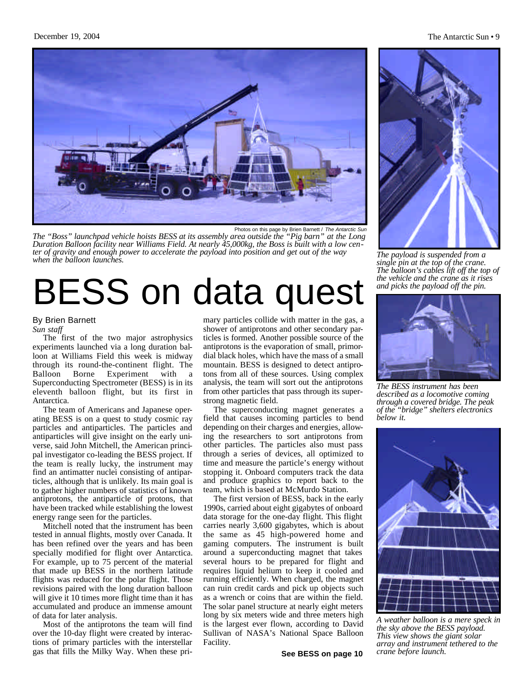

Photos on this page by Brien Barnett / *The Antarctic Sun The "Boss" launchpad vehicle hoists BESS at its assembly area outside the "Pig barn" at the Long Duration Balloon facility near Williams Field. At nearly 45,000kg, the Boss is built with a low center of gravity and enough power to accelerate the payload into position and get out of the way when the balloon launches. The payload is suspended from a* 

# BESS on data quest

### By Brien Barnett

*Sun staff*

The first of the two major astrophysics experiments launched via a long duration balloon at Williams Field this week is midway through its round-the-continent flight. The Balloon Borne Experiment with a Superconducting Spectrometer (BESS) is in its eleventh balloon flight, but its first in Antarctica.

The team of Americans and Japanese operating BESS is on a quest to study cosmic ray particles and antiparticles. The particles and antiparticles will give insight on the early universe, said John Mitchell, the American principal investigator co-leading the BESS project. If the team is really lucky, the instrument may find an antimatter nuclei consisting of antiparticles, although that is unlikely. Its main goal is to gather higher numbers of statistics of known antiprotons, the antiparticle of protons, that have been tracked while establishing the lowest energy range seen for the particles.

Mitchell noted that the instrument has been tested in annual flights, mostly over Canada. It has been refined over the years and has been specially modified for flight over Antarctica. For example, up to 75 percent of the material that made up BESS in the northern latitude flights was reduced for the polar flight. Those revisions paired with the long duration balloon will give it 10 times more flight time than it has accumulated and produce an immense amount of data for later analysis.

Most of the antiprotons the team will find over the 10-day flight were created by interactions of primary particles with the interstellar gas that fills the Milky Way. When these pri-

mary particles collide with matter in the gas, a shower of antiprotons and other secondary particles is formed. Another possible source of the antiprotons is the evaporation of small, primordial black holes, which have the mass of a small mountain. BESS is designed to detect antiprotons from all of these sources. Using complex analysis, the team will sort out the antiprotons from other particles that pass through its superstrong magnetic field.

The superconducting magnet generates a field that causes incoming particles to bend depending on their charges and energies, allowing the researchers to sort antiprotons from other particles. The particles also must pass through a series of devices, all optimized to time and measure the particle's energy without stopping it. Onboard computers track the data and produce graphics to report back to the team, which is based at McMurdo Station.

The first version of BESS, back in the early 1990s, carried about eight gigabytes of onboard data storage for the one-day flight. This flight carries nearly 3,600 gigabytes, which is about the same as 45 high-powered home and gaming computers. The instrument is built around a superconducting magnet that takes several hours to be prepared for flight and requires liquid helium to keep it cooled and running efficiently. When charged, the magnet can ruin credit cards and pick up objects such as a wrench or coins that are within the field. The solar panel structure at nearly eight meters long by six meters wide and three meters high is the largest ever flown, according to David Sullivan of NASA's National Space Balloon Facility.

#### December 19, 2004 The Antarctic Sun • 9



*single pin at the top of the crane. The balloon's cables lift off the top of the vehicle and the crane as it rises and picks the payload off the pin.*



*The BESS instrument has been described as a locomotive coming through a covered bridge. The peak of the "bridge" shelters electronics below it.*



*A weather balloon is a mere speck in the sky above the BESS payload. This view shows the giant solar array and instrument tethered to the crane before launch.*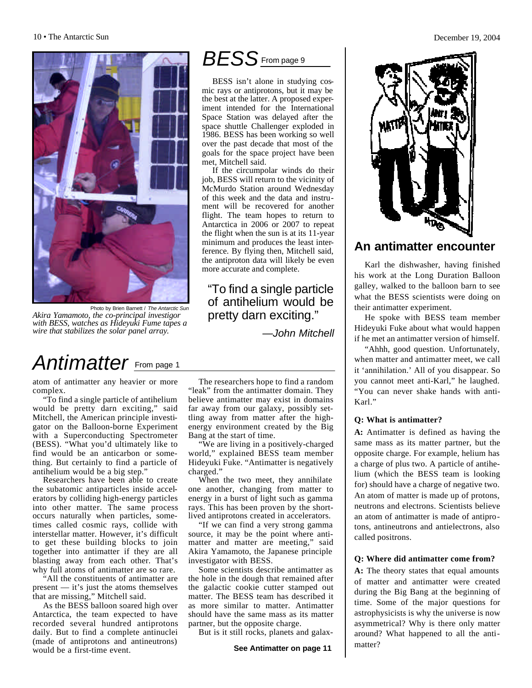

Photo by Brien Barnett / *The Antarctic Sun Akira Yamamoto, the co-principal investigor with BESS, watches as Hideyuki Fume tapes a wire that stabilizes the solar panel array.* 

# Antimatter From page 1

atom of antimatter any heavier or more complex.

"To find a single particle of antihelium would be pretty darn exciting," said Mitchell, the American principle investigator on the Balloon-borne Experiment with a Superconducting Spectrometer (BESS). "What you'd ultimately like to find would be an anticarbon or something. But certainly to find a particle of antihelium would be a big step."

Researchers have been able to create the subatomic antiparticles inside accelerators by colliding high-energy particles into other matter. The same process occurs naturally when particles, sometimes called cosmic rays, collide with interstellar matter. However, it's difficult to get these building blocks to join together into antimatter if they are all blasting away from each other. That's why full atoms of antimatter are so rare.

"All the constituents of antimatter are present — it's just the atoms themselves that are missing," Mitchell said.

As the BESS balloon soared high over Antarctica, the team expected to have recorded several hundred antiprotons daily. But to find a complete antinuclei (made of antiprotons and antineutrons) would be a first-time event.

The researchers hope to find a random "leak" from the antimatter domain. They believe antimatter may exist in domains far away from our galaxy, possibly settling away from matter after the highenergy environment created by the Big Bang at the start of time.

more accurate and complete.

"To find a single particle of antihelium would be pretty darn exciting."

*—John Mitchell*

BESS isn't alone in studying cosmic rays or antiprotons, but it may be the best at the latter. A proposed experiment intended for the International Space Station was delayed after the space shuttle Challenger exploded in 1986. BESS has been working so well over the past decade that most of the goals for the space project have been

*BESS*From page 9

If the circumpolar winds do their job, BESS will return to the vicinity of McMurdo Station around Wednesday of this week and the data and instrument will be recovered for another flight. The team hopes to return to Antarctica in 2006 or 2007 to repeat the flight when the sun is at its 11-year minimum and produces the least interference. By flying then, Mitchell said, the antiproton data will likely be even

met, Mitchell said.

"We are living in a positively-charged world," explained BESS team member Hideyuki Fuke. "Antimatter is negatively charged."

When the two meet, they annihilate one another, changing from matter to energy in a burst of light such as gamma rays. This has been proven by the shortlived antiprotons created in accelerators.

"If we can find a very strong gamma source, it may be the point where antimatter and matter are meeting," said Akira Yamamoto, the Japanese principle investigator with BESS.

Some scientists describe antimatter as the hole in the dough that remained after the galactic cookie cutter stamped out matter. The BESS team has described it as more similar to matter. Antimatter should have the same mass as its matter partner, but the opposite charge.

But is it still rocks, planets and galax-



# **An antimatter encounter**

Karl the dishwasher, having finished his work at the Long Duration Balloon galley, walked to the balloon barn to see what the BESS scientists were doing on their antimatter experiment.

He spoke with BESS team member Hideyuki Fuke about what would happen if he met an antimatter version of himself.

"Ahhh, good question. Unfortunately, when matter and antimatter meet, we call it 'annihilation.' All of you disappear. So you cannot meet anti-Karl," he laughed. "You can never shake hands with anti-Karl."

### **Q: What is antimatter?**

**A:** Antimatter is defined as having the same mass as its matter partner, but the opposite charge. For example, helium has a charge of plus two. A particle of antihelium (which the BESS team is looking for) should have a charge of negative two. An atom of matter is made up of protons, neutrons and electrons. Scientists believe an atom of antimatter is made of antiprotons, antineutrons and antielectrons, also called positrons.

### **Q: Where did antimatter come from?**

**A:** The theory states that equal amounts of matter and antimatter were created during the Big Bang at the beginning of time. Some of the major questions for astrophysicists is why the universe is now asymmetrical? Why is there only matter around? What happened to all the antimatter?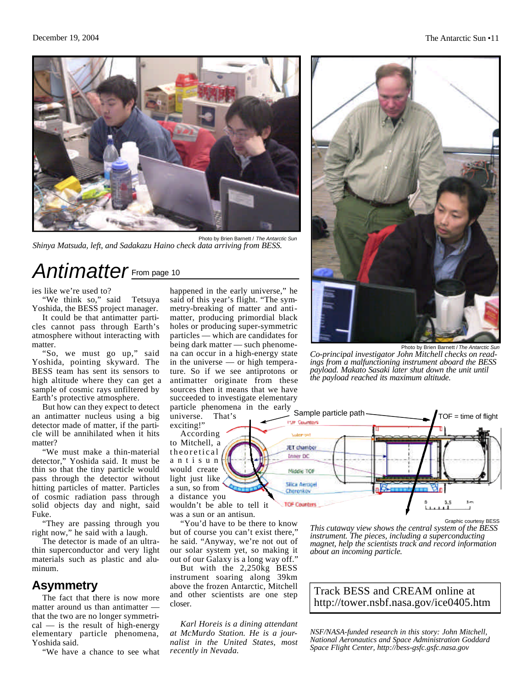

Photo by Brien Barnett / *The Antarctic Sun Shinya Matsuda, left, and Sadakazu Haino check data arriving from BESS.*

# *Antimatter* From page 10

ies like we're used to?

"We think so," said Tetsuya Yoshida, the BESS project manager.

It could be that antimatter particles cannot pass through Earth's atmosphere without interacting with matter.

"So, we must go up," said Yoshida, pointing skyward. The BESS team has sent its sensors to high altitude where they can get a sample of cosmic rays unfiltered by Earth's protective atmosphere.

But how can they expect to detect an antimatter nucleus using a big detector made of matter, if the particle will be annihilated when it hits matter?

"We must make a thin-material detector," Yoshida said. It must be thin so that the tiny particle would pass through the detector without hitting particles of matter. Particles of cosmic radiation pass through solid objects day and night, said Fuke.

"They are passing through you right now," he said with a laugh.

The detector is made of an ultrathin superconductor and very light materials such as plastic and aluminum.

# **Asymmetry**

The fact that there is now more matter around us than antimatter that the two are no longer symmetri $cal -$  is the result of high-energy elementary particle phenomena, Yoshida said.

"We have a chance to see what

happened in the early universe," he said of this year's flight. "The symmetry-breaking of matter and antimatter, producing primordial black holes or producing super-symmetric particles — which are candidates for being dark matter — such phenomena can occur in a high-energy state in the universe — or high temperature. So if we see antiprotons or antimatter originate from these sources then it means that we have succeeded to investigate elementary particle phenomena in the early

universe. That's exciting!"

According to Mitchell, a theoretical antisun would create light just like a sun, so from a distance you

wouldn't be able to tell it was a sun or an antisun.

"You'd have to be there to know but of course you can't exist there," he said. "Anyway, we're not out of our solar system yet, so making it out of our Galaxy is a long way off."

But with the 2,250kg BESS instrument soaring along 39km above the frozen Antarctic, Mitchell and other scientists are one step closer.

*Karl Horeis is a dining attendant at McMurdo Station. He is a journalist in the United States, most recently in Nevada.*



Photo by Brien Barnett / *The Antarctic Sun Co-principal investigator John Mitchell checks on read-*

*ings from a malfunctioning instrument aboard the BESS payload. Makato Sasaki later shut down the unit until the payload reached its maximum altitude.*



Graphic courtesy BESS

*This cutaway view shows the central system of the BESS instrument. The pieces, including a superconducting magnet, help the scientists track and record information about an incoming particle.* 

## Track BESS and CREAM online at http://tower.nsbf.nasa.gov/ice0405.htm

*NSF/NASA-funded research in this story: John Mitchell, National Aeronautics and Space Administration Goddard Space Flight Center, http://bess-gsfc.gsfc.nasa.gov*